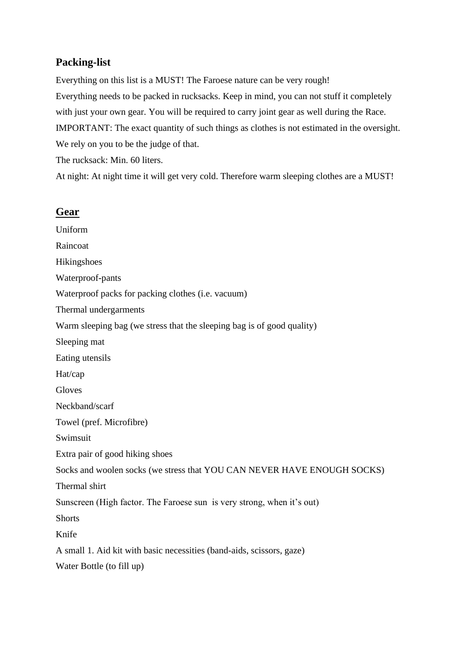## **Packing-list**

Everything on this list is a MUST! The Faroese nature can be very rough! Everything needs to be packed in rucksacks. Keep in mind, you can not stuff it completely with just your own gear. You will be required to carry joint gear as well during the Race. IMPORTANT: The exact quantity of such things as clothes is not estimated in the oversight. We rely on you to be the judge of that.

The rucksack: Min. 60 liters.

At night: At night time it will get very cold. Therefore warm sleeping clothes are a MUST!

## **Gear**

Uniform Raincoat Hikingshoes Waterproof-pants Waterproof packs for packing clothes (i.e. vacuum) Thermal undergarments Warm sleeping bag (we stress that the sleeping bag is of good quality) Sleeping mat Eating utensils Hat/cap **Gloves** Neckband/scarf Towel (pref. Microfibre) Swimsuit Extra pair of good hiking shoes Socks and woolen socks (we stress that YOU CAN NEVER HAVE ENOUGH SOCKS) Thermal shirt Sunscreen (High factor. The Faroese sun is very strong, when it's out) **Shorts** Knife A small 1. Aid kit with basic necessities (band-aids, scissors, gaze) Water Bottle (to fill up)